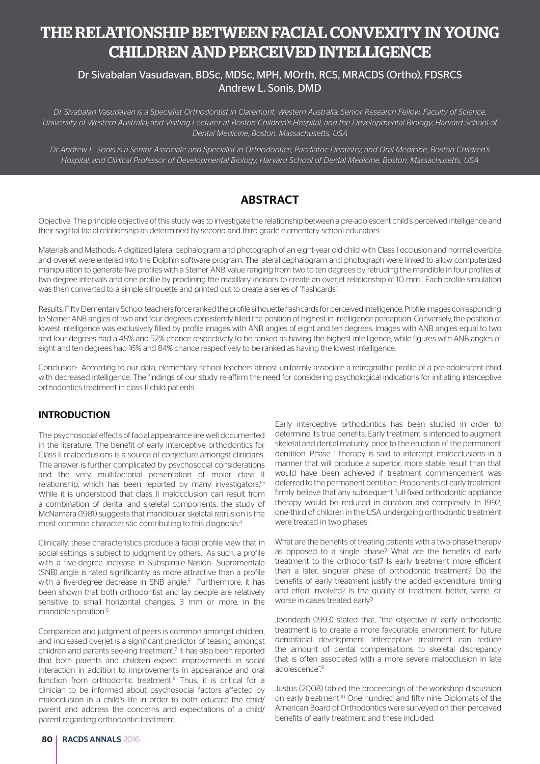# THE RELATIONSHIP BETWEEN FACIAL CONVEXITY IN YOUNG CHILDREN AND PERCEIVED INTELLIGENCE

## Dr Sivabalan Vasudavan, BDSc, MDSc, MPH, MOrth, RCS, MRACDS (Ortho), FDSRCS Andrew L. Sonis, DMD

*Dr Sivabalan Vasudavan is a Specialist Orthodontist in Claremont, Western Australia; Senior Research Fellow, Faculty of Science, University of Western Australia; and Visiting Lecturer at Boston Children's Hospital, and the Developmental Biology, Harvard School of Dental Medicine, Boston, Massachusetts, USA* 

*Dr Andrew L. Sonis is a Senior Associate and Specialist in Orthodontics, Paediatric Dentistry, and Oral Medicine, Boston Children's Hospital, and Clinical Professor of Developmental Biology, Harvard School of Dental Medicine, Boston, Massachusetts, USA*

## ABSTRACT

Objective: The principle objective of this study was to investigate the relationship between a pre-adolescent child's perceived intelligence and their sagittal facial relationship as determined by second and third grade elementary school educators.

Materials and Methods: A digitized lateral cephalogram and photograph of an eight-year old child with Class I occlusion and normal overbite and overjet were entered into the Dolphin software program. The lateral cephalogram and photograph were linked to allow computerized manipulation to generate five profiles with a Steiner ANB value ranging from two to ten degrees by retruding the mandible in four profiles at two degree intervals and one profile by proclining the maxillary incisors to create an overjet relationship of 10 mm. Each profile simulation was then converted to a simple silhouette and printed out to create a series of "flashcards".

Results: Fifty Elementary School teachers force ranked the profile silhouette flashcards for perceived intelligence. Profile images corresponding to Steiner ANB angles of two and four degrees consistently filled the position of highest in intelligence perception. Conversely, the position of lowest intelligence was exclusively filled by profile images with ANB angles of eight and ten degrees. Images with ANB angles equal to two and four degrees had a 48% and 52% chance respectively to be ranked as having the highest intelligence, while figures with ANB angles of eight and ten degrees had 16% and 84% chance respectively to be ranked as having the lowest intelligence.

Conclusion: According to our data, elementary school teachers almost uniformly associate a retrognathic profile of a pre-adolescent child with decreased intelligence. The findings of our study re-affirm the need for considering psychological indications for initiating interceptive orthodontics treatment in class II child patients.

### INTRODUCTION

The psychosocial effects of facial appearance are well documented in the literature. The benefit of early interceptive orthodontics for Class II malocclusions is a source of conjecture amongst clinicians. The answer is further complicated by psychosocial considerations and the very multifactorial presentation of molar class II relationship, which has been reported by many investigators.<sup>1-3</sup> While it is understood that class II malocclusion can result from a combination of dental and skeletal components, the study of McNamara (1981) suggests that mandibular skeletal retrusion is the most common characteristic contributing to this diagnosis.<sup>4</sup>

Clinically, these characteristics produce a facial profile view that in social settings is subject to judgment by others. As such, a profile with a five-degree increase in Subspinale-Nasion- Supramentale (SNB) angle is rated significantly as more attractive than a profile with a five-degree decrease in SNB angle.<sup>5</sup> Furthermore, it has been shown that both orthodontist and lay people are relatively sensitive to small horizontal changes, 3 mm or more, in the mandible's position.<sup>6</sup>

Comparison and judgment of peers is common amongst children, and increased overjet is a significant predictor of teasing amongst children and parents seeking treatment.<sup>7</sup> It has also been reported that both parents and children expect improvements in social interaction in addition to improvements in appearance and oral function from orthodontic treatment.<sup>8</sup> Thus, it is critical for a clinician to be informed about psychosocial factors affected by malocclusion in a child's life in order to both educate the child/ parent and address the concerns and expectations of a child/ parent regarding orthodontic treatment.

Early interceptive orthodontics has been studied in order to determine its true benefits. Early treatment is intended to augment skeletal and dental maturity, prior to the eruption of the permanent dentition. Phase 1 therapy is said to intercept malocclusions in a manner that will produce a superior, more stable result than that would have been achieved if treatment commencement was deferred to the permanent dentition. Proponents of early treatment firmly believe that any subsequent full-fixed orthodontic appliance therapy would be reduced in duration and complexity. In 1992, one-third of children in the USA undergoing orthodontic treatment were treated in two phases.

What are the benefits of treating patients with a two-phase therapy as opposed to a single phase? What are the benefits of early treatment to the orthodontist? Is early treatment more efficient than a later, singular phase of orthodontic treatment? Do the benefits of early treatment justify the added expenditure, timing and effort involved? Is the quality of treatment better, same, or worse in cases treated early?

Joondeph (1993) stated that, "the objective of early orthodontic treatment is to create a more favourable environment for future dentofacial development. Interceptive treatment can reduce the amount of dental compensations to skeletal discrepancy that is often associated with a more severe malocclusion in late adolescence".<sup>9</sup>

Justus (2008) tabled the proceedings of the workshop discussion on early treatment.10 One hundred and fifty nine Diplomats of the American Board of Orthodontics were surveyed on their perceived benefits of early treatment and these included: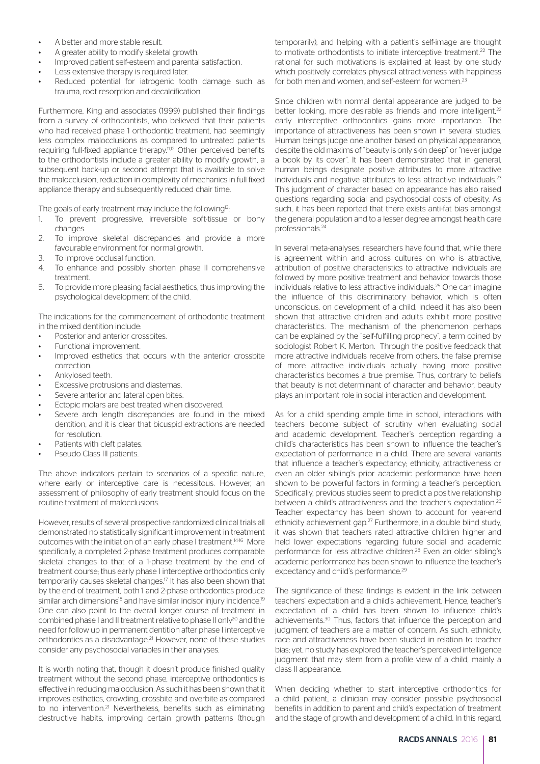- A better and more stable result.
- A greater ability to modify skeletal growth.
- Improved patient self-esteem and parental satisfaction.
- Less extensive therapy is required later.
- Reduced potential for iatrogenic tooth damage such as trauma, root resorption and decalcification.

Furthermore, King and associates (1999) published their findings from a survey of orthodontists, who believed that their patients who had received phase 1 orthodontic treatment, had seemingly less complex malocclusions as compared to untreated patients requiring full-fixed appliance therapy.<sup>11,12</sup> Other perceived benefits to the orthodontists include a greater ability to modify growth, a subsequent back-up or second attempt that is available to solve the malocclusion, reduction in complexity of mechanics in full fixed appliance therapy and subsequently reduced chair time.

The goals of early treatment may include the following<sup>13</sup>:

- 1. To prevent progressive, irreversible soft-tissue or bony changes.
- 2. To improve skeletal discrepancies and provide a more favourable environment for normal growth.
- 3. To improve occlusal function.
- 4. To enhance and possibly shorten phase II comprehensive treatment.
- 5. To provide more pleasing facial aesthetics, thus improving the psychological development of the child.

The indications for the commencement of orthodontic treatment in the mixed dentition include:

- Posterior and anterior crossbites.
- Functional improvement.
- Improved esthetics that occurs with the anterior crossbite correction.
- Ankylosed teeth.
- Excessive protrusions and diastemas.
- Severe anterior and lateral open bites.
- Ectopic molars are best treated when discovered.
- Severe arch length discrepancies are found in the mixed dentition, and it is clear that bicuspid extractions are needed for resolution.
- Patients with cleft palates.
- Pseudo Class III patients.

The above indicators pertain to scenarios of a specific nature, where early or interceptive care is necessitous. However, an assessment of philosophy of early treatment should focus on the routine treatment of malocclusions.

However, results of several prospective randomized clinical trials all demonstrated no statistically significant improvement in treatment outcomes with the initiation of an early phase I treatment.14-16 More specifically, a completed 2-phase treatment produces comparable skeletal changes to that of a 1-phase treatment by the end of treatment course; thus early phase I interceptive orthodontics only temporarily causes skeletal changes.<sup>17</sup> It has also been shown that by the end of treatment, both 1 and 2-phase orthodontics produce similar arch dimensions<sup>18</sup> and have similar incisor injury incidence.<sup>19</sup> One can also point to the overall longer course of treatment in combined phase I and II treatment relative to phase II only<sup>20</sup> and the need for follow up in permanent dentition after phase I interceptive orthodontics as a disadvantage.<sup>21</sup> However, none of these studies consider any psychosocial variables in their analyses.

It is worth noting that, though it doesn't produce finished quality treatment without the second phase, interceptive orthodontics is effective in reducing malocclusion. As such it has been shown that it improves esthetics, crowding, crossbite and overbite as compared to no intervention.<sup>21</sup> Nevertheless, benefits such as eliminating destructive habits, improving certain growth patterns (though

temporarily), and helping with a patient's self-image are thought to motivate orthodontists to initiate interceptive treatment.<sup>22</sup> The rational for such motivations is explained at least by one study which positively correlates physical attractiveness with happiness for both men and women, and self-esteem for women.<sup>23</sup>

Since children with normal dental appearance are judged to be better looking, more desirable as friends and more intelligent,<sup>22</sup> early interceptive orthodontics gains more importance. The importance of attractiveness has been shown in several studies. Human beings judge one another based on physical appearance, despite the old maxims of "beauty is only skin deep" or "never judge a book by its cover". It has been demonstrated that in general, human beings designate positive attributes to more attractive individuals and negative attributes to less attractive individuals.<sup>23</sup> This judgment of character based on appearance has also raised questions regarding social and psychosocial costs of obesity. As such, it has been reported that there exists anti-fat bias amongst the general population and to a lesser degree amongst health care professionals.<sup>24</sup>

In several meta-analyses, researchers have found that, while there is agreement within and across cultures on who is attractive attribution of positive characteristics to attractive individuals are followed by more positive treatment and behavior towards those individuals relative to less attractive individuals.25 One can imagine the influence of this discriminatory behavior, which is often unconscious, on development of a child. Indeed it has also been shown that attractive children and adults exhibit more positive characteristics. The mechanism of the phenomenon perhaps can be explained by the "self-fulfilling prophecy", a term coined by sociologist Robert K. Merton. Through the positive feedback that more attractive individuals receive from others, the false premise of more attractive individuals actually having more positive characteristics becomes a true premise. Thus, contrary to beliefs that beauty is not determinant of character and behavior, beauty plays an important role in social interaction and development.

As for a child spending ample time in school, interactions with teachers become subject of scrutiny when evaluating social and academic development. Teacher's perception regarding a child's characteristics has been shown to influence the teacher's expectation of performance in a child. There are several variants that influence a teacher's expectancy; ethnicity, attractiveness or even an older sibling's prior academic performance have been shown to be powerful factors in forming a teacher's perception. Specifically, previous studies seem to predict a positive relationship between a child's attractiveness and the teacher's expectation. 26 Teacher expectancy has been shown to account for year-end ethnicity achievement gap.<sup>27</sup> Furthermore, in a double blind study, it was shown that teachers rated attractive children higher and held lower expectations regarding future social and academic performance for less attractive children.<sup>28</sup> Even an older sibling's academic performance has been shown to influence the teacher's expectancy and child's performance.<sup>29</sup>

The significance of these findings is evident in the link between teachers' expectation and a child's achievement. Hence, teacher's expectation of a child has been shown to influence child's achievements.30 Thus, factors that influence the perception and judgment of teachers are a matter of concern. As such, ethnicity, race and attractiveness have been studied in relation to teacher bias; yet, no study has explored the teacher's perceived intelligence judgment that may stem from a profile view of a child, mainly a class II appearance.

When deciding whether to start interceptive orthodontics for a child patient, a clinician may consider possible psychosocial benefits in addition to parent and child's expectation of treatment and the stage of growth and development of a child. In this regard,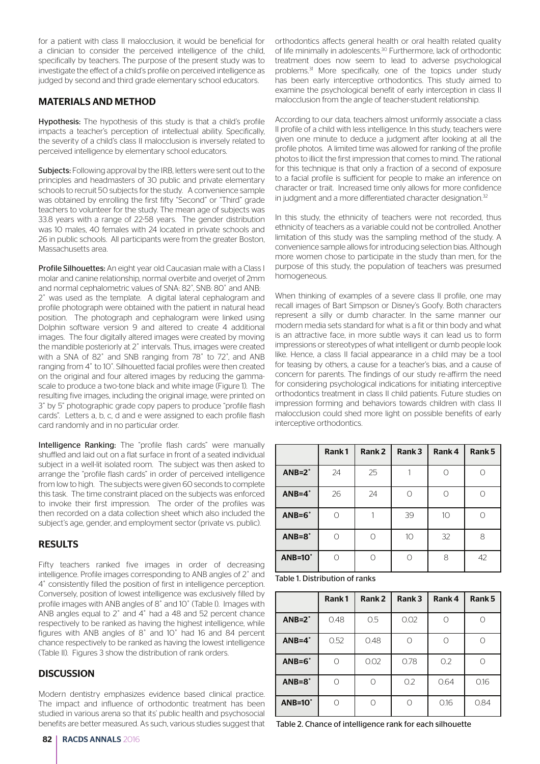for a patient with class II malocclusion, it would be beneficial for a clinician to consider the perceived intelligence of the child, specifically by teachers. The purpose of the present study was to investigate the effect of a child's profile on perceived intelligence as judged by second and third grade elementary school educators.

#### MATERIALS AND METHOD

Hypothesis: The hypothesis of this study is that a child's profile impacts a teacher's perception of intellectual ability. Specifically, the severity of a child's class II malocclusion is inversely related to perceived intelligence by elementary school educators.

Subjects: Following approval by the IRB, letters were sent out to the principles and headmasters of 30 public and private elementary schools to recruit 50 subjects for the study. A convenience sample was obtained by enrolling the first fifty "Second" or "Third" grade teachers to volunteer for the study. The mean age of subjects was 33.8 years with a range of 22-58 years. The gender distribution was 10 males, 40 females with 24 located in private schools and 26 in public schools. All participants were from the greater Boston, Massachusetts area.

Profile Silhouettes: An eight year old Caucasian male with a Class I molar and canine relationship, normal overbite and overjet of 2mm and normal cephalometric values of SNA: 82˚, SNB: 80˚ and ANB: 2˚ was used as the template. A digital lateral cephalogram and profile photograph were obtained with the patient in natural head position. The photograph and cephalogram were linked using Dolphin software version 9 and altered to create 4 additional images. The four digitally altered images were created by moving the mandible posteriorly at 2˚ intervals. Thus, images were created with a SNA of 82˚ and SNB ranging from 78˚ to 72˚, and ANB ranging from 4˚ to 10˚. Silhouetted facial profiles were then created on the original and four altered images by reducing the gammascale to produce a two-tone black and white image (Figure 1). The resulting five images, including the original image, were printed on 3" by 5" photographic grade copy papers to produce "profile flash cards". Letters a, b, c, d and e were assigned to each profile flash card randomly and in no particular order.

Intelligence Ranking: The "profile flash cards" were manually shuffled and laid out on a flat surface in front of a seated individual subject in a well-lit isolated room. The subject was then asked to arrange the "profile flash cards" in order of perceived intelligence from low to high. The subjects were given 60 seconds to complete this task. The time constraint placed on the subjects was enforced to invoke their first impression. The order of the profiles was then recorded on a data collection sheet which also included the subject's age, gender, and employment sector (private vs. public).

#### RESULTS

Fifty teachers ranked five images in order of decreasing intelligence. Profile images corresponding to ANB angles of 2˚ and 4˚ consistently filled the position of first in intelligence perception. Conversely, position of lowest intelligence was exclusively filled by profile images with ANB angles of 8˚ and 10˚ (Table I). Images with ANB angles equal to 2˚ and 4˚ had a 48 and 52 percent chance respectively to be ranked as having the highest intelligence, while figures with ANB angles of 8˚ and 10˚ had 16 and 84 percent chance respectively to be ranked as having the lowest intelligence (Table II). Figures 3 show the distribution of rank orders.

#### **DISCUSSION**

Modern dentistry emphasizes evidence based clinical practice. The impact and influence of orthodontic treatment has been studied in various arena so that its' public health and psychosocial benefits are better measured. As such, various studies suggest that orthodontics affects general health or oral health related quality of life minimally in adolescents.<sup>30</sup> Furthermore, lack of orthodontic treatment does now seem to lead to adverse psychological problems.<sup>31</sup> More specifically, one of the topics under study has been early interceptive orthodontics. This study aimed to examine the psychological benefit of early interception in class II malocclusion from the angle of teacher-student relationship.

According to our data, teachers almost uniformly associate a class II profile of a child with less intelligence. In this study, teachers were given one minute to deduce a judgment after looking at all the profile photos. A limited time was allowed for ranking of the profile photos to illicit the first impression that comes to mind. The rational for this technique is that only a fraction of a second of exposure to a facial profile is sufficient for people to make an inference on character or trait. Increased time only allows for more confidence in judgment and a more differentiated character designation.<sup>32</sup>

In this study, the ethnicity of teachers were not recorded, thus ethnicity of teachers as a variable could not be controlled. Another limitation of this study was the sampling method of the study. A convenience sample allows for introducing selection bias. Although more women chose to participate in the study than men, for the purpose of this study, the population of teachers was presumed homogeneous.

When thinking of examples of a severe class II profile, one may recall images of Bart Simpson or Disney's Goofy. Both characters represent a silly or dumb character. In the same manner our modern media sets standard for what is a fit or thin body and what is an attractive face, in more subtle ways it can lead us to form impressions or stereotypes of what intelligent or dumb people look like. Hence, a class II facial appearance in a child may be a tool for teasing by others, a cause for a teacher's bias, and a cause of concern for parents. The findings of our study re-affirm the need for considering psychological indications for initiating interceptive orthodontics treatment in class II child patients. Future studies on impression forming and behaviors towards children with class II malocclusion could shed more light on possible benefits of early interceptive orthodontics.

|                  | Rank1 | Rank <sub>2</sub> | Rank 3     | Rank 4          | Rank 5 |
|------------------|-------|-------------------|------------|-----------------|--------|
| $ANB=2^\circ$    | 24    | 25                |            |                 |        |
| $ANB=4^\circ$    | 26    | 24                | $\bigcirc$ | Ω               |        |
| $ANB=6^\circ$    |       |                   | 39         | 10 <sup>°</sup> |        |
| $ANB = 8°$       | ∩     | ∩                 | 10         | 32              | 8      |
| $AND=10^{\circ}$ |       | ∩                 | ∩          | 8               | 42     |

Table 1. Distribution of ranks

|                  | Rank1 | Rank <sub>2</sub> | Rank 3 | Rank 4 | Rank 5 |
|------------------|-------|-------------------|--------|--------|--------|
| $ANB=2^\circ$    | 0.48  | 0.5               | 0.02   |        |        |
| $ANB=4^\circ$    | 0.52  | 0.48              |        |        |        |
| $ANB = 6^\circ$  | ∩     | 0.02              | 0.78   | 0.2    |        |
| $ANB = 8^\circ$  |       |                   | 0.2    | 0.64   | 0.16   |
| $AND=10^{\circ}$ | ∩     |                   |        | 0.16   | 0.84   |

Table 2. Chance of intelligence rank for each silhouette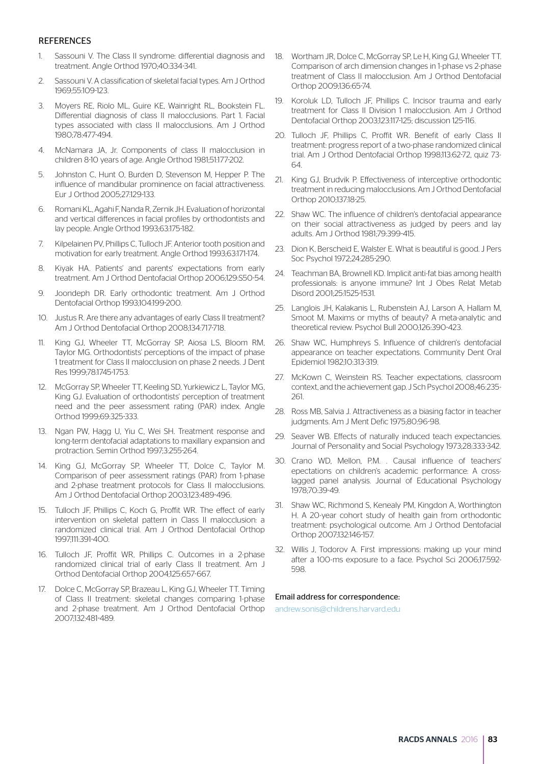#### **REFERENCES**

- 1. Sassouni V. The Class II syndrome: differential diagnosis and 18. Wortham JR, Dolce C, McGorray SP, Le H, King GJ, Wheeler TT. treatment. Angle Orthod 1970;40:334-341.
- 2. Sassouni V. A classification of skeletal facial types. Am J Orthod 1969;55:109-123.
- 3. Moyers RE, Riolo ML, Guire KE, Wainright RL, Bookstein FL. Differential diagnosis of class II malocclusions. Part 1. Facial types associated with class II malocclusions. Am J Orthod 1980;78:477-494.
- 4. McNamara JA, Jr. Components of class II malocclusion in children 8-10 years of age. Angle Orthod 1981;51:177-202.
- 5. Johnston C, Hunt O, Burden D, Stevenson M, Hepper P. The influence of mandibular prominence on facial attractiveness. Eur J Orthod 2005;27:129-133.
- 6. Romani KL, Agahi F, Nanda R, Zernik JH. Evaluation of horizontal and vertical differences in facial profiles by orthodontists and lay people. Angle Orthod 1993;63:175-182.
- 7. Kilpelainen PV, Phillips C, Tulloch JF. Anterior tooth position and motivation for early treatment. Angle Orthod 1993;63:171-174.
- 8. Kiyak HA. Patients' and parents' expectations from early treatment. Am J Orthod Dentofacial Orthop 2006;129:S50-54.
- 9. Joondeph DR. Early orthodontic treatment. Am J Orthod Dentofacial Orthop 1993;104:199-200.
- 10. Justus R. Are there any advantages of early Class II treatment? Am J Orthod Dentofacial Orthop 2008;134:717-718.
- 11. King GJ, Wheeler TT, McGorray SP, Aiosa LS, Bloom RM, Taylor MG. Orthodontists' perceptions of the impact of phase 1 treatment for Class II malocclusion on phase 2 needs. J Dent Res 1999;78:1745-1753.
- 12. McGorray SP, Wheeler TT, Keeling SD, Yurkiewicz L, Taylor MG, King GJ. Evaluation of orthodontists' perception of treatment need and the peer assessment rating (PAR) index. Angle Orthod 1999;69:325-333.
- 13. Ngan PW, Hagg U, Yiu C, Wei SH. Treatment response and long-term dentofacial adaptations to maxillary expansion and protraction. Semin Orthod 1997;3:255-264.
- 14. King GJ, McGorray SP, Wheeler TT, Dolce C, Taylor M. Comparison of peer assessment ratings (PAR) from 1-phase and 2-phase treatment protocols for Class II malocclusions. Am J Orthod Dentofacial Orthop 2003;123:489-496.
- 15. Tulloch JF, Phillips C, Koch G, Proffit WR. The effect of early intervention on skeletal pattern in Class II malocclusion: a randomized clinical trial. Am J Orthod Dentofacial Orthop 1997;111:391-400.
- 16. Tulloch JF, Proffit WR, Phillips C. Outcomes in a 2-phase randomized clinical trial of early Class II treatment. Am J Orthod Dentofacial Orthop 2004;125:657-667.
- 17. Dolce C, McGorray SP, Brazeau L, King GJ, Wheeler TT. Timing of Class II treatment: skeletal changes comparing 1-phase and 2-phase treatment. Am J Orthod Dentofacial Orthop 2007;132:481-489.
- Comparison of arch dimension changes in 1-phase vs 2-phase treatment of Class II malocclusion. Am J Orthod Dentofacial Orthop 2009;136:65-74.
- 19. Koroluk LD, Tulloch JF, Phillips C. Incisor trauma and early treatment for Class II Division 1 malocclusion. Am J Orthod Dentofacial Orthop 2003;123:117-125; discussion 125-116.
- 20. Tulloch JF, Phillips C. Proffit WR. Benefit of early Class II treatment: progress report of a two-phase randomized clinical trial. Am J Orthod Dentofacial Orthop 1998;113:62-72, quiz 73- 64.
- 21. King GJ, Brudvik P. Effectiveness of interceptive orthodontic treatment in reducing malocclusions. Am J Orthod Dentofacial Orthop 2010;137:18-25.
- 22. Shaw WC. The influence of children's dentofacial appearance on their social attractiveness as judged by peers and lay adults. Am J Orthod 1981;79:399-415.
- 23. Dion K, Berscheid E, Walster E. What is beautiful is good. J Pers Soc Psychol 1972;24:285-290.
- 24. Teachman BA, Brownell KD. Implicit anti-fat bias among health professionals: is anyone immune? Int J Obes Relat Metab Disord 2001;25:1525-1531.
- 25. Langlois JH, Kalakanis L, Rubenstein AJ, Larson A, Hallam M, Smoot M. Maxims or myths of beauty? A meta-analytic and theoretical review. Psychol Bull 2000;126:390-423.
- 26. Shaw WC, Humphreys S. Influence of children's dentofacial appearance on teacher expectations. Community Dent Oral Epidemiol 1982;10:313-319.
- 27. McKown C, Weinstein RS. Teacher expectations, classroom context, and the achievement gap. J Sch Psychol 2008;46:235- 261.
- 28. Ross MB, Salvia J. Attractiveness as a biasing factor in teacher judgments. Am J Ment Defic 1975;80:96-98.
- 29. Seaver WB. Effects of naturally induced teach expectancies. Journal of Personality and Social Psychology 1973;28:333-342.
- 30. Crano WD, Mellon, P.M. . Causal influence of teachers' epectations on children's academic performance: A crosslagged panel analysis. Journal of Educational Psychology 1978;70:39-49.
- 31. Shaw WC, Richmond S, Kenealy PM, Kingdon A, Worthington H. A 20-year cohort study of health gain from orthodontic treatment: psychological outcome. Am J Orthod Dentofacial Orthop 2007;132:146-157.
- 32. Willis J, Todorov A. First impressions: making up your mind after a 100-ms exposure to a face. Psychol Sci 2006;17:592- 598.

#### Email address for correspondence:

andrew.sonis@childrens.harvard.edu